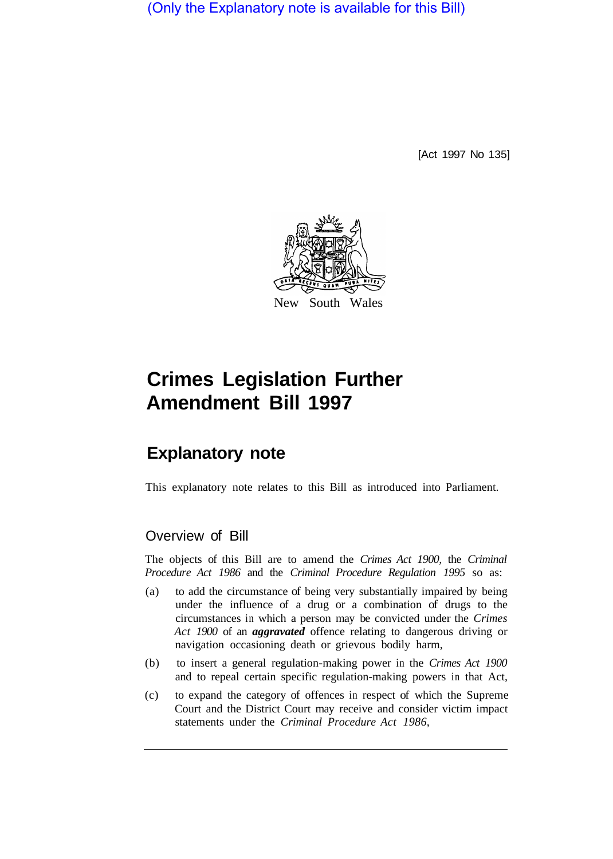(Only the Explanatory note is available for this Bill)

[Act 1997 No 135]



# **Crimes Legislation Further Amendment Bill 1997**

## **Explanatory note**

This explanatory note relates to this Bill as introduced into Parliament.

### Overview of Bill

The objects of this Bill are to amend the *Crimes Act 1900,* the *Criminal Procedure Act 1986* and the *Criminal Procedure Regulation 1995* so as:

- (a) to add the circumstance of being very substantially impaired by being under the influence of a drug or a combination of drugs to the circumstances in which a person may be convicted under the *Crimes Act 1900* of an *aggravated* offence relating to dangerous driving or navigation occasioning death or grievous bodily harm,
- (b) to insert a general regulation-making power in the *Crimes Act 1900*  and to repeal certain specific regulation-making powers in that Act,
- (c) to expand the category of offences in respect of which the Supreme Court and the District Court may receive and consider victim impact statements under the *Criminal Procedure Act 1986,*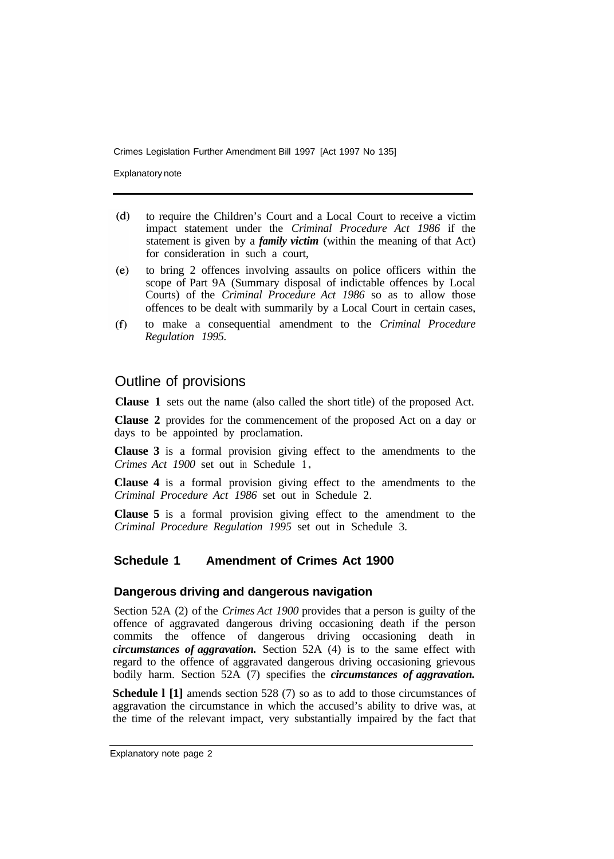Crimes Legislation Further Amendment Bill 1997 [Act 1997 No 135]

Explanatory note

- to require the Children's Court and a Local Court to receive a victim  $(d)$ impact statement under the *Criminal Procedure Act 1986* if the statement is given by a *family victim* (within the meaning of that Act) for consideration in such a court,
- to bring 2 offences involving assaults on police officers within the  $(e)$ scope of Part 9A (Summary disposal of indictable offences by Local Courts) of the *Criminal Procedure Act 1986* so as to allow those offences to be dealt with summarily by a Local Court in certain cases,
- to make a consequential amendment to the *Criminal Procedure*   $(f)$ *Regulation 1995.*

#### Outline of provisions

**Clause 1** sets out the name (also called the short title) of the proposed Act.

**Clause 2** provides for the commencement of the proposed Act on a day or days to be appointed by proclamation.

**Clause 3** is a formal provision giving effect to the amendments to the *Crimes Act 1900* set out in Schedule 1

**Clause 4** is a formal provision giving effect to the amendments to the *Criminal Procedure Act 1986* set out in Schedule 2.

**Clause 5** is a formal provision giving effect to the amendment to the *Criminal Procedure Regulation 1995* set out in Schedule 3.

#### **Schedule 1 Amendment of Crimes Act 1900**

#### **Dangerous driving and dangerous navigation**

Section 52A (2) of the *Crimes Act 1900* provides that a person is guilty of the offence of aggravated dangerous driving occasioning death if the person commits the offence of dangerous driving occasioning death in *circumstances of aggravation.* Section 52A (4) is to the same effect with regard to the offence of aggravated dangerous driving occasioning grievous bodily harm. Section 52A (7) specifies the *circumstances of aggravation.* 

**Schedule l [1]** amends section 528 (7) so as to add to those circumstances of aggravation the circumstance in which the accused's ability to drive was, at the time of the relevant impact, very substantially impaired by the fact that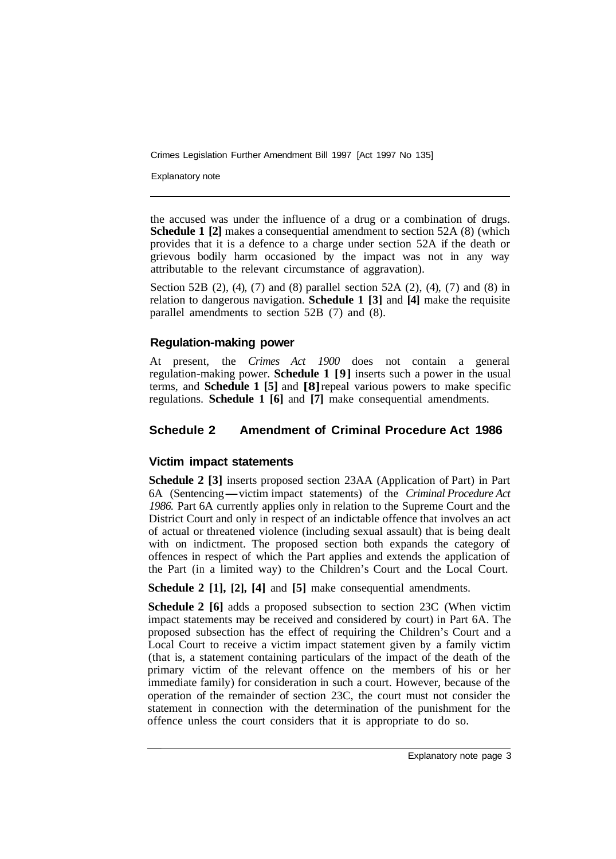Crimes Legislation Further Amendment Bill 1997 [Act 1997 No 135]

Explanatory note

the accused was under the influence of a drug or a combination of drugs. **Schedule 1 [2]** makes a consequential amendment to section 52A (8) (which provides that it is a defence to a charge under section 52A if the death or grievous bodily harm occasioned by the impact was not in any way attributable to the relevant circumstance of aggravation).

Section 52B (2), (4), (7) and (8) parallel section 52A (2), (4), (7) and (8) in relation to dangerous navigation. **Schedule 1 [3]** and **[4]** make the requisite parallel amendments to section 52B (7) and (8).

#### **Regulation-making power**

At present, the *Crimes Act 1900* does not contain a general regulation-making power. **Schedule 1 [9]** inserts such a power in the usual terms, and **Schedule 1 [5]** and **[8]** repeal various powers to make specific regulations. **Schedule 1 [6]** and **[7]** make consequential amendments.

#### **Schedule 2 Amendment of Criminal Procedure Act 1986**

#### **Victim impact statements**

**Schedule 2 [3]** inserts proposed section 23AA (Application of Part) in Part 6A (Sentencing-victim impact statements) of the *Criminal Procedure Act 1986.* Part 6A currently applies only in relation to the Supreme Court and the District Court and only in respect of an indictable offence that involves an act of actual or threatened violence (including sexual assault) that is being dealt with on indictment. The proposed section both expands the category of offences in respect of which the Part applies and extends the application of the Part (in a limited way) to the Children's Court and the Local Court.

**Schedule 2 [1], [2], [4]** and **[5]** make consequential amendments.

**Schedule 2 [6]** adds a proposed subsection to section 23C (When victim impact statements may be received and considered by court) in Part 6A. The proposed subsection has the effect of requiring the Children's Court and a Local Court to receive a victim impact statement given by a family victim (that is, a statement containing particulars of the impact of the death of the primary victim of the relevant offence on the members of his or her immediate family) for consideration in such a court. However, because of the operation of the remainder of section 23C, the court must not consider the statement in connection with the determination of the punishment for the offence unless the court considers that it is appropriate to do so.